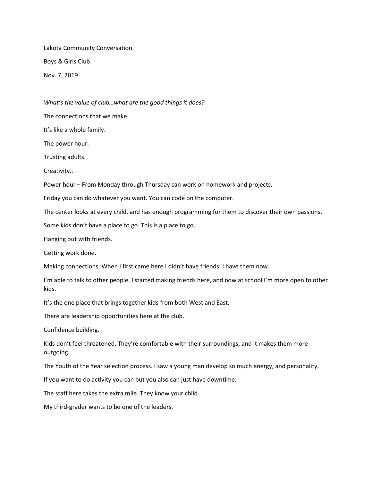Lakota Community Conversation Boys & Girls Club Nov. 7, 2019

*What's the value of club…what are the good things it does?*

The connections that we make.

It's like a whole family.

The power hour.

Trusting adults.

Creativity..

Power hour – From Monday through Thursday can work on homework and projects.

Friday you can do whatever you want. You can code on the computer.

The center looks at every child, and has enough programming for them to discover their own passions.

Some kids don't have a place to go. This is a place to go.

Hanging out with friends.

Getting work done.

Making connections. When I first came here I didn't have friends. I have them now.

I'm able to talk to other people. I started making friends here, and now at school I'm more open to other kids.

It's the one place that brings together kids from both West and East.

There are leadership opportunities here at the club.

Confidence building.

Kids don't feel threatened. They're comfortable with their surroundings, and it makes them more outgoing.

The Youth of the Year selection process. I saw a young man develop so much energy, and personality.

If you want to do activity you can but you also can just have downtime.

The staff here takes the extra mile. They know your child

My third-grader wants to be one of the leaders.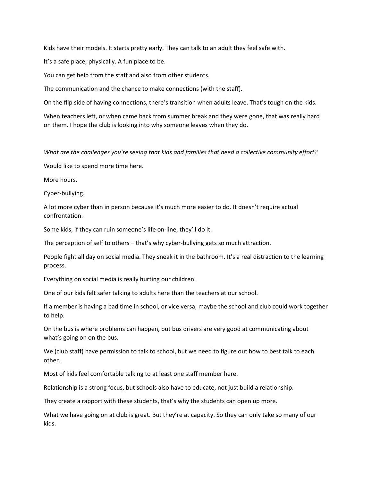Kids have their models. It starts pretty early. They can talk to an adult they feel safe with.

It's a safe place, physically. A fun place to be.

You can get help from the staff and also from other students.

The communication and the chance to make connections (with the staff).

On the flip side of having connections, there's transition when adults leave. That's tough on the kids.

When teachers left, or when came back from summer break and they were gone, that was really hard on them. I hope the club is looking into why someone leaves when they do.

*What are the challenges you're seeing that kids and families that need a collective community effort?*

Would like to spend more time here.

More hours.

Cyber-bullying.

A lot more cyber than in person because it's much more easier to do. It doesn't require actual confrontation.

Some kids, if they can ruin someone's life on-line, they'll do it.

The perception of self to others – that's why cyber-bullying gets so much attraction.

People fight all day on social media. They sneak it in the bathroom. It's a real distraction to the learning process.

Everything on social media is really hurting our children.

One of our kids felt safer talking to adults here than the teachers at our school.

If a member is having a bad time in school, or vice versa, maybe the school and club could work together to help.

On the bus is where problems can happen, but bus drivers are very good at communicating about what's going on on the bus.

We (club staff) have permission to talk to school, but we need to figure out how to best talk to each other.

Most of kids feel comfortable talking to at least one staff member here.

Relationship is a strong focus, but schools also have to educate, not just build a relationship.

They create a rapport with these students, that's why the students can open up more.

What we have going on at club is great. But they're at capacity. So they can only take so many of our kids.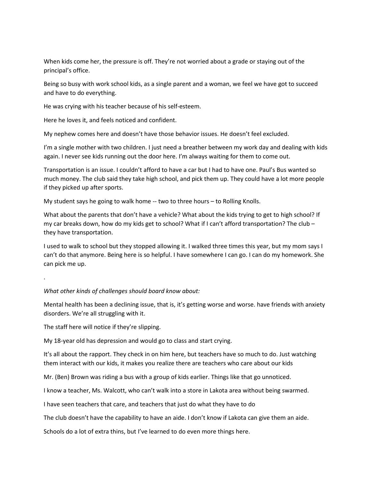When kids come her, the pressure is off. They're not worried about a grade or staying out of the principal's office.

Being so busy with work school kids, as a single parent and a woman, we feel we have got to succeed and have to do everything.

He was crying with his teacher because of his self-esteem.

Here he loves it, and feels noticed and confident.

My nephew comes here and doesn't have those behavior issues. He doesn't feel excluded.

I'm a single mother with two children. I just need a breather between my work day and dealing with kids again. I never see kids running out the door here. I'm always waiting for them to come out.

Transportation is an issue. I couldn't afford to have a car but I had to have one. Paul's Bus wanted so much money. The club said they take high school, and pick them up. They could have a lot more people if they picked up after sports.

My student says he going to walk home -- two to three hours – to Rolling Knolls.

What about the parents that don't have a vehicle? What about the kids trying to get to high school? If my car breaks down, how do my kids get to school? What if I can't afford transportation? The club – they have transportation.

I used to walk to school but they stopped allowing it. I walked three times this year, but my mom says I can't do that anymore. Being here is so helpful. I have somewhere I can go. I can do my homework. She can pick me up.

*What other kinds of challenges should board know about:*

Mental health has been a declining issue, that is, it's getting worse and worse. have friends with anxiety disorders. We're all struggling with it.

The staff here will notice if they're slipping.

.

My 18-year old has depression and would go to class and start crying.

It's all about the rapport. They check in on him here, but teachers have so much to do. Just watching them interact with our kids, it makes you realize there are teachers who care about our kids

Mr. (Ben) Brown was riding a bus with a group of kids earlier. Things like that go unnoticed.

I know a teacher, Ms. Walcott, who can't walk into a store in Lakota area without being swarmed.

I have seen teachers that care, and teachers that just do what they have to do

The club doesn't have the capability to have an aide. I don't know if Lakota can give them an aide.

Schools do a lot of extra thins, but I've learned to do even more things here.